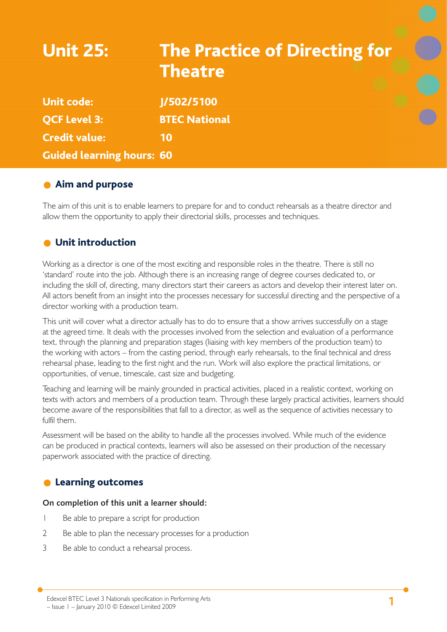# Unit 25: The Practice of Directing for **Theatre** Unit code: J/502/5100 QCF Level 3: BTEC National Credit value: 10 Guided learning hours: 60

## **Aim and purpose**

The aim of this unit is to enable learners to prepare for and to conduct rehearsals as a theatre director and allow them the opportunity to apply their directorial skills, processes and techniques.

## **O** Unit introduction

Working as a director is one of the most exciting and responsible roles in the theatre. There is still no 'standard' route into the job. Although there is an increasing range of degree courses dedicated to, or including the skill of, directing, many directors start their careers as actors and develop their interest later on. All actors benefit from an insight into the processes necessary for successful directing and the perspective of a director working with a production team.

This unit will cover what a director actually has to do to ensure that a show arrives successfully on a stage at the agreed time. It deals with the processes involved from the selection and evaluation of a performance text, through the planning and preparation stages (liaising with key members of the production team) to the working with actors – from the casting period, through early rehearsals, to the final technical and dress rehearsal phase, leading to the first night and the run. Work will also explore the practical limitations, or opportunities, of venue, timescale, cast size and budgeting.

Teaching and learning will be mainly grounded in practical activities, placed in a realistic context, working on texts with actors and members of a production team. Through these largely practical activities, learners should become aware of the responsibilities that fall to a director, as well as the sequence of activities necessary to fulfil them.

Assessment will be based on the ability to handle all the processes involved. While much of the evidence can be produced in practical contexts, learners will also be assessed on their production of the necessary paperwork associated with the practice of directing.

## **C** Learning outcomes

#### **On completion of this unit a learner should:**

- 1 Be able to prepare a script for production
- 2 Be able to plan the necessary processes for a production
- 3 Be able to conduct a rehearsal process.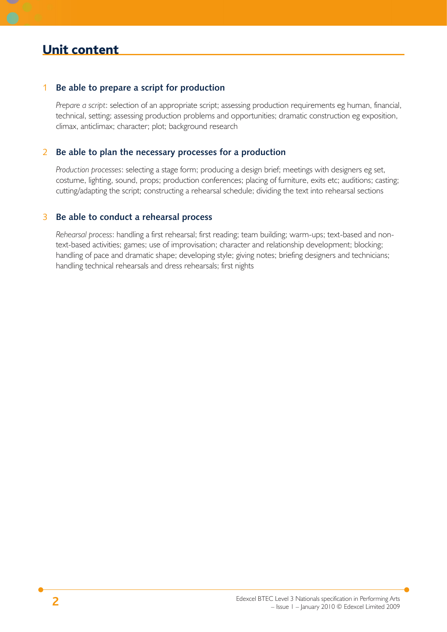## Unit content

#### 1 **Be able to prepare a script for production**

*Prepare a script*: selection of an appropriate script; assessing production requirements eg human, financial, technical, setting; assessing production problems and opportunities; dramatic construction eg exposition, climax, anticlimax; character; plot; background research

#### 2 **Be able to plan the necessary processes for a production**

*Production processes*: selecting a stage form; producing a design brief; meetings with designers eg set, costume, lighting, sound, props; production conferences; placing of furniture, exits etc; auditions; casting; cutting/adapting the script; constructing a rehearsal schedule; dividing the text into rehearsal sections

#### 3 **Be able to conduct a rehearsal process**

*Rehearsal process*: handling a first rehearsal; first reading; team building; warm-ups; text-based and nontext-based activities; games; use of improvisation; character and relationship development; blocking; handling of pace and dramatic shape; developing style; giving notes; briefing designers and technicians; handling technical rehearsals and dress rehearsals; first nights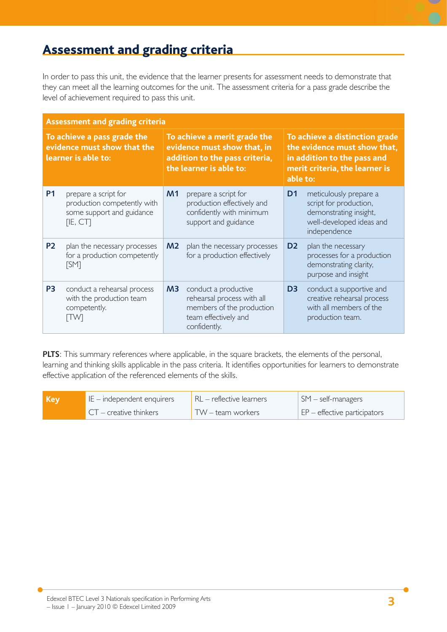## Assessment and grading criteria

In order to pass this unit, the evidence that the learner presents for assessment needs to demonstrate that they can meet all the learning outcomes for the unit. The assessment criteria for a pass grade describe the level of achievement required to pass this unit.

| <b>Assessment and grading criteria</b>                                            |                                                                                              |                                                                                                                          |                                                                                                                         |                                                                                                                                             |                                                                                                                        |
|-----------------------------------------------------------------------------------|----------------------------------------------------------------------------------------------|--------------------------------------------------------------------------------------------------------------------------|-------------------------------------------------------------------------------------------------------------------------|---------------------------------------------------------------------------------------------------------------------------------------------|------------------------------------------------------------------------------------------------------------------------|
| To achieve a pass grade the<br>evidence must show that the<br>learner is able to: |                                                                                              | To achieve a merit grade the<br>evidence must show that, in<br>addition to the pass criteria,<br>the learner is able to: |                                                                                                                         | To achieve a distinction grade<br>the evidence must show that,<br>in addition to the pass and<br>merit criteria, the learner is<br>able to: |                                                                                                                        |
| <b>P1</b>                                                                         | prepare a script for<br>production competently with<br>some support and guidance<br>[IE, CT] | M1                                                                                                                       | prepare a script for<br>production effectively and<br>confidently with minimum<br>support and guidance                  | D <sub>1</sub>                                                                                                                              | meticulously prepare a<br>script for production,<br>demonstrating insight,<br>well-developed ideas and<br>independence |
| <b>P2</b>                                                                         | plan the necessary processes<br>for a production competently<br>[SM]                         | M <sub>2</sub>                                                                                                           | plan the necessary processes<br>for a production effectively                                                            | D <sub>2</sub>                                                                                                                              | plan the necessary<br>processes for a production<br>demonstrating clarity,<br>purpose and insight                      |
| P <sub>3</sub>                                                                    | conduct a rehearsal process<br>with the production team<br>competently.<br>ПWІ               | M <sub>3</sub>                                                                                                           | conduct a productive<br>rehearsal process with all<br>members of the production<br>team effectively and<br>confidently. | D <sub>3</sub>                                                                                                                              | conduct a supportive and<br>creative rehearsal process<br>with all members of the<br>production team.                  |

**PLTS**: This summary references where applicable, in the square brackets, the elements of the personal, learning and thinking skills applicable in the pass criteria. It identifies opportunities for learners to demonstrate effective application of the referenced elements of the skills.

| Key | $IE$ – independent enquirers | $RL$ – reflective learners | $\mathsf{SM}$ – self-managers                       |
|-----|------------------------------|----------------------------|-----------------------------------------------------|
|     | $CT -$ creative thinkers     | $TW -$ team workers        | $\mathsf{E}$ $\mathsf{P}$ – effective participators |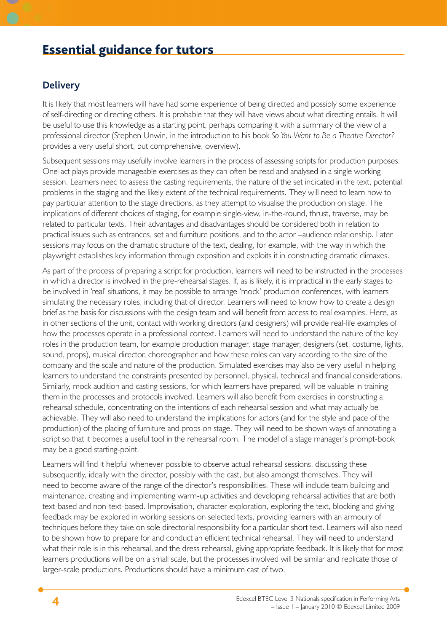## Essential guidance for tutors

#### **Delivery**

It is likely that most learners will have had some experience of being directed and possibly some experience of self-directing or directing others. It is probable that they will have views about what directing entails. It will be useful to use this knowledge as a starting point, perhaps comparing it with a summary of the view of a professional director (Stephen Unwin, in the introduction to his book *So You Want to Be a Theatre Director?* provides a very useful short, but comprehensive, overview).

Subsequent sessions may usefully involve learners in the process of assessing scripts for production purposes. One-act plays provide manageable exercises as they can often be read and analysed in a single working session. Learners need to assess the casting requirements, the nature of the set indicated in the text, potential problems in the staging and the likely extent of the technical requirements. They will need to learn how to pay particular attention to the stage directions, as they attempt to visualise the production on stage. The implications of different choices of staging, for example single-view, in-the-round, thrust, traverse, may be related to particular texts. Their advantages and disadvantages should be considered both in relation to practical issues such as entrances, set and furniture positions, and to the actor –audience relationship. Later sessions may focus on the dramatic structure of the text, dealing, for example, with the way in which the playwright establishes key information through exposition and exploits it in constructing dramatic climaxes.

As part of the process of preparing a script for production, learners will need to be instructed in the processes in which a director is involved in the pre-rehearsal stages. If, as is likely, it is impractical in the early stages to be involved in 'real' situations, it may be possible to arrange 'mock' production conferences, with learners simulating the necessary roles, including that of director. Learners will need to know how to create a design brief as the basis for discussions with the design team and will benefit from access to real examples. Here, as in other sections of the unit, contact with working directors (and designers) will provide real-life examples of how the processes operate in a professional context. Learners will need to understand the nature of the key roles in the production team, for example production manager, stage manager, designers (set, costume, lights, sound, props), musical director, choreographer and how these roles can vary according to the size of the company and the scale and nature of the production. Simulated exercises may also be very useful in helping learners to understand the constraints presented by personnel, physical, technical and financial considerations. Similarly, mock audition and casting sessions, for which learners have prepared, will be valuable in training them in the processes and protocols involved. Learners will also benefit from exercises in constructing a rehearsal schedule, concentrating on the intentions of each rehearsal session and what may actually be achievable. They will also need to understand the implications for actors (and for the style and pace of the production) of the placing of furniture and props on stage. They will need to be shown ways of annotating a script so that it becomes a useful tool in the rehearsal room. The model of a stage manager's prompt-book may be a good starting-point.

Learners will find it helpful whenever possible to observe actual rehearsal sessions, discussing these subsequently, ideally with the director, possibly with the cast, but also amongst themselves. They will need to become aware of the range of the director's responsibilities. These will include team building and maintenance, creating and implementing warm-up activities and developing rehearsal activities that are both text-based and non-text-based. Improvisation, character exploration, exploring the text, blocking and giving feedback may be explored in working sessions on selected texts, providing learners with an armoury of techniques before they take on sole directorial responsibility for a particular short text. Learners will also need to be shown how to prepare for and conduct an efficient technical rehearsal. They will need to understand what their role is in this rehearsal, and the dress rehearsal, giving appropriate feedback. It is likely that for most learners productions will be on a small scale, but the processes involved will be similar and replicate those of larger-scale productions. Productions should have a minimum cast of two.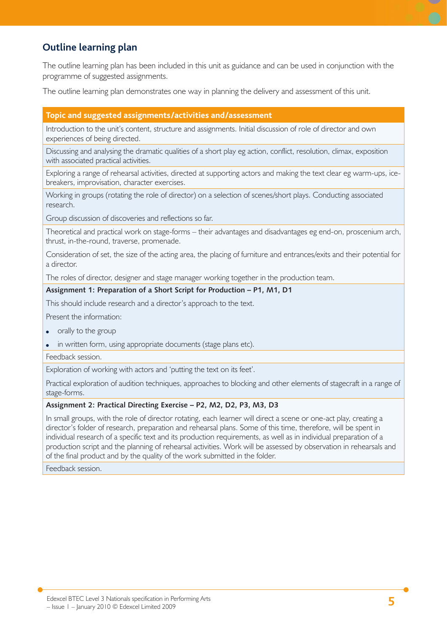## **Outline learning plan**

The outline learning plan has been included in this unit as guidance and can be used in conjunction with the programme of suggested assignments.

The outline learning plan demonstrates one way in planning the delivery and assessment of this unit.

#### **Topic and suggested assignments/activities and/assessment**

Introduction to the unit's content, structure and assignments. Initial discussion of role of director and own experiences of being directed.

Discussing and analysing the dramatic qualities of a short play eg action, conflict, resolution, climax, exposition with associated practical activities.

Exploring a range of rehearsal activities, directed at supporting actors and making the text clear eg warm-ups, icebreakers, improvisation, character exercises.

Working in groups (rotating the role of director) on a selection of scenes/short plays. Conducting associated research.

Group discussion of discoveries and reflections so far.

Theoretical and practical work on stage-forms – their advantages and disadvantages eg end-on, proscenium arch, thrust, in-the-round, traverse, promenade.

Consideration of set, the size of the acting area, the placing of furniture and entrances/exits and their potential for a director.

The roles of director, designer and stage manager working together in the production team.

#### **Assignment 1: Preparation of a Short Script for Production – P1, M1, D1**

This should include research and a director's approach to the text.

Present the information:

- orally to the group
- in written form, using appropriate documents (stage plans etc).
- Feedback session.

Exploration of working with actors and 'putting the text on its feet'.

Practical exploration of audition techniques, approaches to blocking and other elements of stagecraft in a range of stage-forms.

#### **Assignment 2: Practical Directing Exercise – P2, M2, D2, P3, M3, D3**

In small groups, with the role of director rotating, each learner will direct a scene or one-act play, creating a director's folder of research, preparation and rehearsal plans. Some of this time, therefore, will be spent in individual research of a specific text and its production requirements, as well as in individual preparation of a production script and the planning of rehearsal activities. Work will be assessed by observation in rehearsals and of the final product and by the quality of the work submitted in the folder.

Feedback session.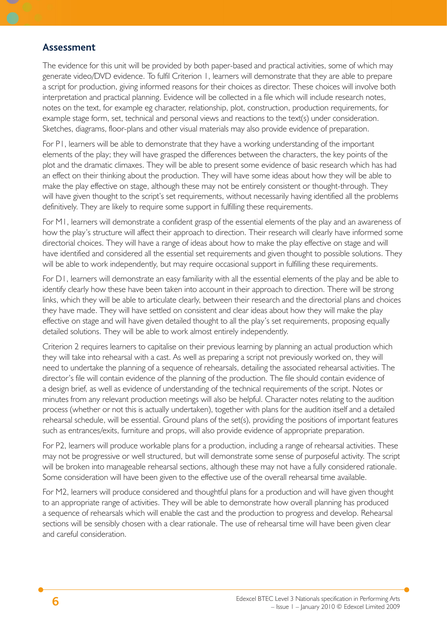#### **Assessment**

The evidence for this unit will be provided by both paper-based and practical activities, some of which may generate video/DVD evidence. To fulfil Criterion 1, learners will demonstrate that they are able to prepare a script for production, giving informed reasons for their choices as director. These choices will involve both interpretation and practical planning. Evidence will be collected in a file which will include research notes, notes on the text, for example eg character, relationship, plot, construction, production requirements, for example stage form, set, technical and personal views and reactions to the text(s) under consideration. Sketches, diagrams, floor-plans and other visual materials may also provide evidence of preparation.

For P1, learners will be able to demonstrate that they have a working understanding of the important elements of the play; they will have grasped the differences between the characters, the key points of the plot and the dramatic climaxes. They will be able to present some evidence of basic research which has had an effect on their thinking about the production. They will have some ideas about how they will be able to make the play effective on stage, although these may not be entirely consistent or thought-through. They will have given thought to the script's set requirements, without necessarily having identified all the problems definitively. They are likely to require some support in fulfilling these requirements.

For M1, learners will demonstrate a confident grasp of the essential elements of the play and an awareness of how the play's structure will affect their approach to direction. Their research will clearly have informed some directorial choices. They will have a range of ideas about how to make the play effective on stage and will have identified and considered all the essential set requirements and given thought to possible solutions. They will be able to work independently, but may require occasional support in fulfilling these requirements.

For D1, learners will demonstrate an easy familiarity with all the essential elements of the play and be able to identify clearly how these have been taken into account in their approach to direction. There will be strong links, which they will be able to articulate clearly, between their research and the directorial plans and choices they have made. They will have settled on consistent and clear ideas about how they will make the play effective on stage and will have given detailed thought to all the play's set requirements, proposing equally detailed solutions. They will be able to work almost entirely independently.

Criterion 2 requires learners to capitalise on their previous learning by planning an actual production which they will take into rehearsal with a cast. As well as preparing a script not previously worked on, they will need to undertake the planning of a sequence of rehearsals, detailing the associated rehearsal activities. The director's file will contain evidence of the planning of the production. The file should contain evidence of a design brief, as well as evidence of understanding of the technical requirements of the script. Notes or minutes from any relevant production meetings will also be helpful. Character notes relating to the audition process (whether or not this is actually undertaken), together with plans for the audition itself and a detailed rehearsal schedule, will be essential. Ground plans of the set(s), providing the positions of important features such as entrances/exits, furniture and props, will also provide evidence of appropriate preparation.

For P2, learners will produce workable plans for a production, including a range of rehearsal activities. These may not be progressive or well structured, but will demonstrate some sense of purposeful activity. The script will be broken into manageable rehearsal sections, although these may not have a fully considered rationale. Some consideration will have been given to the effective use of the overall rehearsal time available.

For M2, learners will produce considered and thoughtful plans for a production and will have given thought to an appropriate range of activities. They will be able to demonstrate how overall planning has produced a sequence of rehearsals which will enable the cast and the production to progress and develop. Rehearsal sections will be sensibly chosen with a clear rationale. The use of rehearsal time will have been given clear and careful consideration.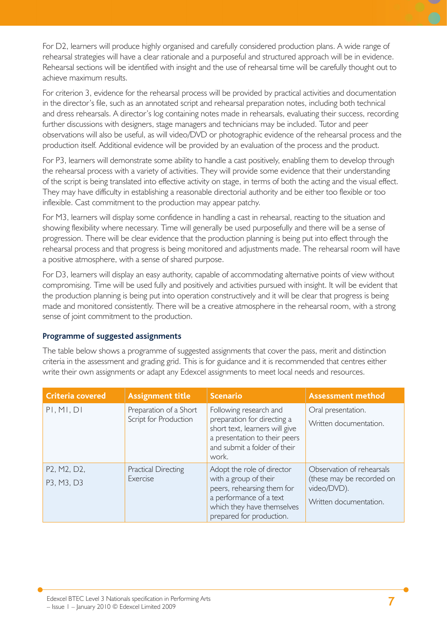For D2, learners will produce highly organised and carefully considered production plans. A wide range of rehearsal strategies will have a clear rationale and a purposeful and structured approach will be in evidence. Rehearsal sections will be identified with insight and the use of rehearsal time will be carefully thought out to achieve maximum results.

For criterion 3, evidence for the rehearsal process will be provided by practical activities and documentation in the director's file, such as an annotated script and rehearsal preparation notes, including both technical and dress rehearsals. A director's log containing notes made in rehearsals, evaluating their success, recording further discussions with designers, stage managers and technicians may be included. Tutor and peer observations will also be useful, as will video/DVD or photographic evidence of the rehearsal process and the production itself. Additional evidence will be provided by an evaluation of the process and the product.

For P3, learners will demonstrate some ability to handle a cast positively, enabling them to develop through the rehearsal process with a variety of activities. They will provide some evidence that their understanding of the script is being translated into effective activity on stage, in terms of both the acting and the visual effect. They may have difficulty in establishing a reasonable directorial authority and be either too flexible or too inflexible. Cast commitment to the production may appear patchy.

For M3, learners will display some confidence in handling a cast in rehearsal, reacting to the situation and showing flexibility where necessary. Time will generally be used purposefully and there will be a sense of progression. There will be clear evidence that the production planning is being put into effect through the rehearsal process and that progress is being monitored and adjustments made. The rehearsal room will have a positive atmosphere, with a sense of shared purpose.

For D3, learners will display an easy authority, capable of accommodating alternative points of view without compromising. Time will be used fully and positively and activities pursued with insight. It will be evident that the production planning is being put into operation constructively and it will be clear that progress is being made and monitored consistently. There will be a creative atmosphere in the rehearsal room, with a strong sense of joint commitment to the production.

#### **Programme of suggested assignments**

The table below shows a programme of suggested assignments that cover the pass, merit and distinction criteria in the assessment and grading grid. This is for guidance and it is recommended that centres either write their own assignments or adapt any Edexcel assignments to meet local needs and resources.

| <b>Criteria covered</b>   | <b>Assignment title</b>                         | <b>Scenario</b>                                                                                                                                                        | <b>Assessment method</b>                                                                        |
|---------------------------|-------------------------------------------------|------------------------------------------------------------------------------------------------------------------------------------------------------------------------|-------------------------------------------------------------------------------------------------|
| PI, MI, DI                | Preparation of a Short<br>Script for Production | Following research and<br>preparation for directing a<br>short text, learners will give<br>a presentation to their peers<br>and submit a folder of their<br>work.      | Oral presentation.<br>Written documentation.                                                    |
| P2, M2, D2,<br>P3, M3, D3 | <b>Practical Directing</b><br>Exercise          | Adopt the role of director<br>with a group of their<br>peers, rehearsing them for<br>a performance of a text<br>which they have themselves<br>prepared for production. | Observation of rehearsals<br>(these may be recorded on<br>video/DVD).<br>Written documentation. |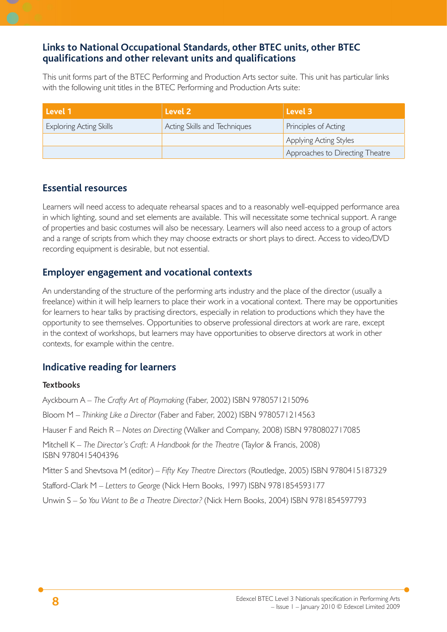## **Links to National Occupational Standards, other BTEC units, other BTEC qualifi cations and other relevant units and qualifi cations**

This unit forms part of the BTEC Performing and Production Arts sector suite. This unit has particular links with the following unit titles in the BTEC Performing and Production Arts suite:

| Level 1                        | Level <sub>2</sub>           | Level 3                         |
|--------------------------------|------------------------------|---------------------------------|
| <b>Exploring Acting Skills</b> | Acting Skills and Techniques | Principles of Acting            |
|                                |                              | Applying Acting Styles          |
|                                |                              | Approaches to Directing Theatre |

### **Essential resources**

Learners will need access to adequate rehearsal spaces and to a reasonably well-equipped performance area in which lighting, sound and set elements are available. This will necessitate some technical support. A range of properties and basic costumes will also be necessary. Learners will also need access to a group of actors and a range of scripts from which they may choose extracts or short plays to direct. Access to video/DVD recording equipment is desirable, but not essential.

## **Employer engagement and vocational contexts**

An understanding of the structure of the performing arts industry and the place of the director (usually a freelance) within it will help learners to place their work in a vocational context. There may be opportunities for learners to hear talks by practising directors, especially in relation to productions which they have the opportunity to see themselves. Opportunities to observe professional directors at work are rare, except in the context of workshops, but learners may have opportunities to observe directors at work in other contexts, for example within the centre.

## **Indicative reading for learners**

#### **Textbooks**

Ayckbourn A – *The Crafty Art of Playmaking* (Faber, 2002) ISBN 9780571215096 Bloom M – *Thinking Like a Director* (Faber and Faber, 2002) ISBN 9780571214563 Hauser F and Reich R – *Notes on Directing* (Walker and Company, 2008) ISBN 9780802717085 Mitchell K – *The Director's Craft: A Handbook for the Theatre* (Taylor & Francis, 2008) ISBN 9780415404396 Mitter S and Shevtsova M (editor) – *Fifty Key Theatre Directors* (Routledge, 2005) ISBN 9780415187329 Stafford-Clark M – *Letters to George* (Nick Hern Books, 1997) ISBN 9781854593177 Unwin S – *So You Want to Be a Theatre Director?* (Nick Hern Books, 2004) ISBN 9781854597793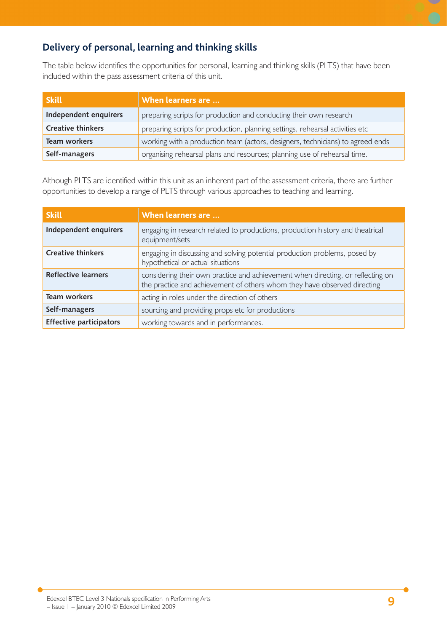## **Delivery of personal, learning and thinking skills**

The table below identifies the opportunities for personal, learning and thinking skills (PLTS) that have been included within the pass assessment criteria of this unit.

| <b>Skill</b>             | <b>When learners are </b>                                                      |  |
|--------------------------|--------------------------------------------------------------------------------|--|
| Independent enquirers    | preparing scripts for production and conducting their own research             |  |
| <b>Creative thinkers</b> | preparing scripts for production, planning settings, rehearsal activities etc  |  |
| Team workers             | working with a production team (actors, designers, technicians) to agreed ends |  |
| Self-managers            | organising rehearsal plans and resources; planning use of rehearsal time.      |  |

Although PLTS are identified within this unit as an inherent part of the assessment criteria, there are further opportunities to develop a range of PLTS through various approaches to teaching and learning.

| <b>Skill</b>                   | When learners are                                                                                                                                           |
|--------------------------------|-------------------------------------------------------------------------------------------------------------------------------------------------------------|
| Independent enquirers          | engaging in research related to productions, production history and theatrical<br>equipment/sets                                                            |
| <b>Creative thinkers</b>       | engaging in discussing and solving potential production problems, posed by<br>hypothetical or actual situations                                             |
| <b>Reflective learners</b>     | considering their own practice and achievement when directing, or reflecting on<br>the practice and achievement of others whom they have observed directing |
| <b>Team workers</b>            | acting in roles under the direction of others                                                                                                               |
| Self-managers                  | sourcing and providing props etc for productions                                                                                                            |
| <b>Effective participators</b> | working towards and in performances.                                                                                                                        |